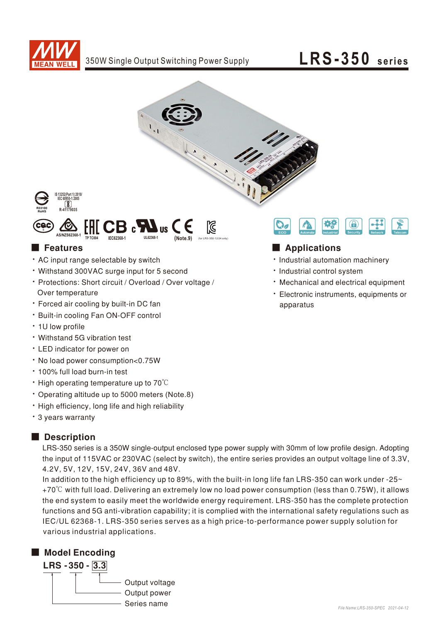





### EAC ⊠ **AGA CB** N **IIS AS/NZS62368-1 UL62368 (Note.9) TP TC004 IEC62368-1 -<sup>1</sup>**

- . AC input range selectable by switch
- Withstand 300VAC surge input for 5 second
- Protections: Short circuit / Overload / Over voltage / Over temperature
- Forced air cooling by built-in DC fan
- Built-in cooling Fan ON-OFF control
- 1U low profile
- Withstand 5G vibration test
- LED indicator for power on
- No load power consumption<0.75W
- 100% full load burn-in test
- High operating temperature up to 70°C
- Operating altitude up to 5000 meters (Note.8)
- . High efficiency, long life and high reliability
- 3 years warranty

### Description

LRS-350 series is a 350W single-output enclosed type power supply with 30mm of low profile design. Adopting the input of 115VAC or 230VAC (select by switch), the entire series provides an output voltage line of 3.3V, 4.2V, 5V, 12V, 15V, 24V, 36V and 48V.

functions and 5G anti-vibration capability; it is complied with the international safety regulations such as IEC/UL 62368-1. LRS-350 series serves as a high price-to-performance power supply solution for various industrial applications. In addition to the high efficiency up to 89%, with the built-in long life fan LRS-350 can work under -25 $\sim$ +70℃ with full load. Delivering an extremely low no load power consumption (less than 0.75W), it allows the end system to easily meet the worldwide energy requirement. LRS-350 has the complete protection

## ■ Model Encoding





### ■ Features ■ Particular and Particular and Particular and Particular and Particular and Particular and Particular and Particular and Particular and Particular and Particular and Particular and Particular and Particular an

- · Industrial automation machinery
- · Industrial control system
- Mechanical and electrical equipment
- Electronic instruments, equipments or apparatus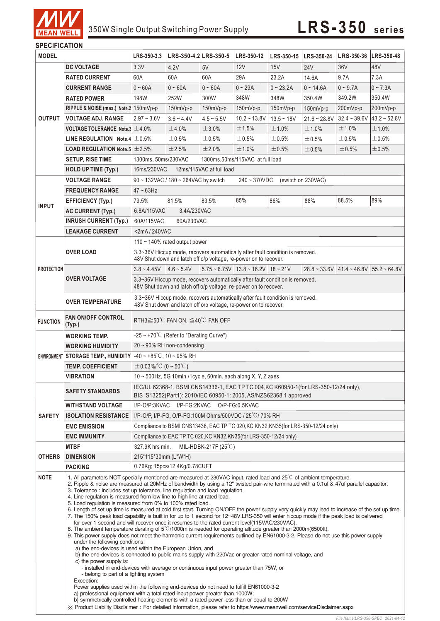

## 350W Single Output Switching Power Supply **LRS-3 5 0 series**

### **SPECIFICATION**

| <b>MODEL</b>                 |                                                                                                                                                                                                                                                                                                                                                                                                                                                                                                                                                                                                                                                                                                                                                                                                                                                                                                                                                                                                                                                                                                                                                                                                                                                                                                                                                                                                                                                                                                                                                                                                                                                                                                                                                                                                                         | LRS-350-3.3                                                                                                                                                | LRS-350-4.2 LRS-350-5         |              | LRS-350-12                                  | LRS-350-15   LRS-350-24 |                | LRS-350-36   LRS-350-48                                     |                 |
|------------------------------|-------------------------------------------------------------------------------------------------------------------------------------------------------------------------------------------------------------------------------------------------------------------------------------------------------------------------------------------------------------------------------------------------------------------------------------------------------------------------------------------------------------------------------------------------------------------------------------------------------------------------------------------------------------------------------------------------------------------------------------------------------------------------------------------------------------------------------------------------------------------------------------------------------------------------------------------------------------------------------------------------------------------------------------------------------------------------------------------------------------------------------------------------------------------------------------------------------------------------------------------------------------------------------------------------------------------------------------------------------------------------------------------------------------------------------------------------------------------------------------------------------------------------------------------------------------------------------------------------------------------------------------------------------------------------------------------------------------------------------------------------------------------------------------------------------------------------|------------------------------------------------------------------------------------------------------------------------------------------------------------|-------------------------------|--------------|---------------------------------------------|-------------------------|----------------|-------------------------------------------------------------|-----------------|
|                              | <b>DC VOLTAGE</b>                                                                                                                                                                                                                                                                                                                                                                                                                                                                                                                                                                                                                                                                                                                                                                                                                                                                                                                                                                                                                                                                                                                                                                                                                                                                                                                                                                                                                                                                                                                                                                                                                                                                                                                                                                                                       | 3.3V                                                                                                                                                       | 4.2V                          | 5V           | 12V                                         | 15V                     | <b>24V</b>     | 36V                                                         | 48V             |
| <b>OUTPUT</b>                | <b>RATED CURRENT</b>                                                                                                                                                                                                                                                                                                                                                                                                                                                                                                                                                                                                                                                                                                                                                                                                                                                                                                                                                                                                                                                                                                                                                                                                                                                                                                                                                                                                                                                                                                                                                                                                                                                                                                                                                                                                    | 60A                                                                                                                                                        | 60A                           | 60A          | 29A                                         | 23.2A                   | 14.6A          | 9.7A                                                        | 7.3A            |
|                              | <b>CURRENT RANGE</b>                                                                                                                                                                                                                                                                                                                                                                                                                                                                                                                                                                                                                                                                                                                                                                                                                                                                                                                                                                                                                                                                                                                                                                                                                                                                                                                                                                                                                                                                                                                                                                                                                                                                                                                                                                                                    | $0 - 60A$                                                                                                                                                  | $0 - 60A$                     | $0 - 60A$    | $0 - 29A$                                   | $0 - 23.2A$             | $0 - 14.6A$    | $0 - 9.7A$                                                  | $0 - 7.3A$      |
|                              | <b>RATED POWER</b>                                                                                                                                                                                                                                                                                                                                                                                                                                                                                                                                                                                                                                                                                                                                                                                                                                                                                                                                                                                                                                                                                                                                                                                                                                                                                                                                                                                                                                                                                                                                                                                                                                                                                                                                                                                                      | 198W                                                                                                                                                       | 252W                          | 300W         | 348W                                        | 348W                    | 350.4W         | 349.2W                                                      | 350.4W          |
|                              | RIPPLE & NOISE (max.) Note.2 150mVp-p                                                                                                                                                                                                                                                                                                                                                                                                                                                                                                                                                                                                                                                                                                                                                                                                                                                                                                                                                                                                                                                                                                                                                                                                                                                                                                                                                                                                                                                                                                                                                                                                                                                                                                                                                                                   |                                                                                                                                                            | $150mVp-p$                    | 150mVp-p     | 150mVp-p                                    | 150mVp-p                | 150mVp-p       | 200mVp-p                                                    | 200mVp-p        |
|                              | <b>VOLTAGE ADJ. RANGE</b>                                                                                                                                                                                                                                                                                                                                                                                                                                                                                                                                                                                                                                                                                                                                                                                                                                                                                                                                                                                                                                                                                                                                                                                                                                                                                                                                                                                                                                                                                                                                                                                                                                                                                                                                                                                               | $2.97 - 3.6V$                                                                                                                                              | $3.6 - 4.4V$                  | $4.5 - 5.5V$ | $10.2 - 13.8V$                              | $13.5 - 18V$            | $21.6 - 28.8V$ | $32.4 - 39.6V$                                              | $43.2 - 52.8V$  |
|                              | VOLTAGE TOLERANCE Note.3 $\pm$ 4.0%                                                                                                                                                                                                                                                                                                                                                                                                                                                                                                                                                                                                                                                                                                                                                                                                                                                                                                                                                                                                                                                                                                                                                                                                                                                                                                                                                                                                                                                                                                                                                                                                                                                                                                                                                                                     |                                                                                                                                                            | ±4.0%                         | $\pm$ 3.0%   | ±1.5%                                       | ±1.0%                   | ±1.0%          | ±1.0%                                                       | ±1.0%           |
|                              | LINE REGULATION Note.4 $\pm$ 0.5%                                                                                                                                                                                                                                                                                                                                                                                                                                                                                                                                                                                                                                                                                                                                                                                                                                                                                                                                                                                                                                                                                                                                                                                                                                                                                                                                                                                                                                                                                                                                                                                                                                                                                                                                                                                       |                                                                                                                                                            | ±0.5%                         | ±0.5%        | ±0.5%                                       | ±0.5%                   | ±0.5%          | ±0.5%                                                       | ±0.5%           |
|                              | <b>LOAD REGULATION Note.5 <math>\pm</math> 2.5%</b>                                                                                                                                                                                                                                                                                                                                                                                                                                                                                                                                                                                                                                                                                                                                                                                                                                                                                                                                                                                                                                                                                                                                                                                                                                                                                                                                                                                                                                                                                                                                                                                                                                                                                                                                                                     |                                                                                                                                                            | ±2.5%                         | ±2.0%        | ±1.0%                                       | ±0.5%                   | ±0.5%          | ±0.5%                                                       | ±0.5%           |
|                              | <b>SETUP, RISE TIME</b>                                                                                                                                                                                                                                                                                                                                                                                                                                                                                                                                                                                                                                                                                                                                                                                                                                                                                                                                                                                                                                                                                                                                                                                                                                                                                                                                                                                                                                                                                                                                                                                                                                                                                                                                                                                                 | 1300ms, 50ms/230VAC                                                                                                                                        |                               |              | 1300ms, 50ms/115VAC at full load            |                         |                |                                                             |                 |
|                              | <b>HOLD UP TIME (Typ.)</b>                                                                                                                                                                                                                                                                                                                                                                                                                                                                                                                                                                                                                                                                                                                                                                                                                                                                                                                                                                                                                                                                                                                                                                                                                                                                                                                                                                                                                                                                                                                                                                                                                                                                                                                                                                                              | 16ms/230VAC<br>12ms/115VAC at full load                                                                                                                    |                               |              |                                             |                         |                |                                                             |                 |
| <b>INPUT</b>                 | <b>VOLTAGE RANGE</b>                                                                                                                                                                                                                                                                                                                                                                                                                                                                                                                                                                                                                                                                                                                                                                                                                                                                                                                                                                                                                                                                                                                                                                                                                                                                                                                                                                                                                                                                                                                                                                                                                                                                                                                                                                                                    | 90 ~ 132VAC / 180 ~ 264VAC by switch<br>240~370VDC<br>(switch on 230VAC)                                                                                   |                               |              |                                             |                         |                |                                                             |                 |
|                              | <b>FREQUENCY RANGE</b>                                                                                                                                                                                                                                                                                                                                                                                                                                                                                                                                                                                                                                                                                                                                                                                                                                                                                                                                                                                                                                                                                                                                                                                                                                                                                                                                                                                                                                                                                                                                                                                                                                                                                                                                                                                                  | $47 - 63$ Hz                                                                                                                                               |                               |              |                                             |                         |                |                                                             |                 |
|                              | <b>EFFICIENCY (Typ.)</b>                                                                                                                                                                                                                                                                                                                                                                                                                                                                                                                                                                                                                                                                                                                                                                                                                                                                                                                                                                                                                                                                                                                                                                                                                                                                                                                                                                                                                                                                                                                                                                                                                                                                                                                                                                                                | 79.5%                                                                                                                                                      | 81.5%                         | 83.5%        | 85%                                         | 86%                     | 88%            | 88.5%                                                       | 89%             |
|                              | <b>AC CURRENT (Typ.)</b>                                                                                                                                                                                                                                                                                                                                                                                                                                                                                                                                                                                                                                                                                                                                                                                                                                                                                                                                                                                                                                                                                                                                                                                                                                                                                                                                                                                                                                                                                                                                                                                                                                                                                                                                                                                                | 6.8A/115VAC                                                                                                                                                | 3.4A/230VAC                   |              |                                             |                         |                |                                                             |                 |
|                              | <b>INRUSH CURRENT (Typ.)</b>                                                                                                                                                                                                                                                                                                                                                                                                                                                                                                                                                                                                                                                                                                                                                                                                                                                                                                                                                                                                                                                                                                                                                                                                                                                                                                                                                                                                                                                                                                                                                                                                                                                                                                                                                                                            | 60A/230VAC<br>60A/115VAC                                                                                                                                   |                               |              |                                             |                         |                |                                                             |                 |
|                              | <b>LEAKAGE CURRENT</b>                                                                                                                                                                                                                                                                                                                                                                                                                                                                                                                                                                                                                                                                                                                                                                                                                                                                                                                                                                                                                                                                                                                                                                                                                                                                                                                                                                                                                                                                                                                                                                                                                                                                                                                                                                                                  | <2mA/240VAC                                                                                                                                                |                               |              |                                             |                         |                |                                                             |                 |
| <b>PROTECTION</b>            |                                                                                                                                                                                                                                                                                                                                                                                                                                                                                                                                                                                                                                                                                                                                                                                                                                                                                                                                                                                                                                                                                                                                                                                                                                                                                                                                                                                                                                                                                                                                                                                                                                                                                                                                                                                                                         | 110 $\sim$ 140% rated output power                                                                                                                         |                               |              |                                             |                         |                |                                                             |                 |
|                              | <b>OVER LOAD</b>                                                                                                                                                                                                                                                                                                                                                                                                                                                                                                                                                                                                                                                                                                                                                                                                                                                                                                                                                                                                                                                                                                                                                                                                                                                                                                                                                                                                                                                                                                                                                                                                                                                                                                                                                                                                        | 3.3~36V Hiccup mode, recovers automatically after fault condition is removed.<br>48V Shut down and latch off o/p voltage, re-power on to recover.          |                               |              |                                             |                         |                |                                                             |                 |
|                              |                                                                                                                                                                                                                                                                                                                                                                                                                                                                                                                                                                                                                                                                                                                                                                                                                                                                                                                                                                                                                                                                                                                                                                                                                                                                                                                                                                                                                                                                                                                                                                                                                                                                                                                                                                                                                         | $3.8 - 4.45V$                                                                                                                                              | $4.6 \sim 5.4V$               |              | $5.75 \sim 6.75V$   13.8 ~ 16.2V   18 ~ 21V |                         |                | $28.8 \approx 33.6 \text{V}$   41.4 $\approx 46.8 \text{V}$ | $155.2 - 64.8V$ |
|                              | <b>OVER VOLTAGE</b>                                                                                                                                                                                                                                                                                                                                                                                                                                                                                                                                                                                                                                                                                                                                                                                                                                                                                                                                                                                                                                                                                                                                                                                                                                                                                                                                                                                                                                                                                                                                                                                                                                                                                                                                                                                                     | 3.3~36V Hiccup mode, recovers automatically after fault condition is removed.<br>48V Shut down and latch off o/p voltage, re-power on to recover.          |                               |              |                                             |                         |                |                                                             |                 |
|                              | <b>OVER TEMPERATURE</b>                                                                                                                                                                                                                                                                                                                                                                                                                                                                                                                                                                                                                                                                                                                                                                                                                                                                                                                                                                                                                                                                                                                                                                                                                                                                                                                                                                                                                                                                                                                                                                                                                                                                                                                                                                                                 | 3.3~36V Hiccup mode, recovers automatically after fault condition is removed.<br>48V Shut down and latch off o/p voltage, re-power on to recover.          |                               |              |                                             |                         |                |                                                             |                 |
| <b>FUNCTION</b>              | <b>FAN ON/OFF CONTROL</b><br>(Typ.)                                                                                                                                                                                                                                                                                                                                                                                                                                                                                                                                                                                                                                                                                                                                                                                                                                                                                                                                                                                                                                                                                                                                                                                                                                                                                                                                                                                                                                                                                                                                                                                                                                                                                                                                                                                     | RTH3 $\geq$ 50°C FAN ON, $\leq$ 40°C FAN OFF                                                                                                               |                               |              |                                             |                         |                |                                                             |                 |
|                              | <b>WORKING TEMP.</b>                                                                                                                                                                                                                                                                                                                                                                                                                                                                                                                                                                                                                                                                                                                                                                                                                                                                                                                                                                                                                                                                                                                                                                                                                                                                                                                                                                                                                                                                                                                                                                                                                                                                                                                                                                                                    | $-25 \sim +70^{\circ}$ C (Refer to "Derating Curve")                                                                                                       |                               |              |                                             |                         |                |                                                             |                 |
|                              | <b>WORKING HUMIDITY</b>                                                                                                                                                                                                                                                                                                                                                                                                                                                                                                                                                                                                                                                                                                                                                                                                                                                                                                                                                                                                                                                                                                                                                                                                                                                                                                                                                                                                                                                                                                                                                                                                                                                                                                                                                                                                 | $20 \sim 90\%$ RH non-condensing                                                                                                                           |                               |              |                                             |                         |                |                                                             |                 |
|                              | ENVIRONMENT STORAGE TEMP., HUMIDITY                                                                                                                                                                                                                                                                                                                                                                                                                                                                                                                                                                                                                                                                                                                                                                                                                                                                                                                                                                                                                                                                                                                                                                                                                                                                                                                                                                                                                                                                                                                                                                                                                                                                                                                                                                                     | $-40 \sim +85^{\circ}$ C, 10 ~ 95% RH                                                                                                                      |                               |              |                                             |                         |                |                                                             |                 |
|                              | <b>TEMP. COEFFICIENT</b>                                                                                                                                                                                                                                                                                                                                                                                                                                                                                                                                                                                                                                                                                                                                                                                                                                                                                                                                                                                                                                                                                                                                                                                                                                                                                                                                                                                                                                                                                                                                                                                                                                                                                                                                                                                                | $\pm$ 0.03%/°C (0 ~ 50°C)                                                                                                                                  |                               |              |                                             |                         |                |                                                             |                 |
|                              | <b>VIBRATION</b>                                                                                                                                                                                                                                                                                                                                                                                                                                                                                                                                                                                                                                                                                                                                                                                                                                                                                                                                                                                                                                                                                                                                                                                                                                                                                                                                                                                                                                                                                                                                                                                                                                                                                                                                                                                                        | 10 ~ 500Hz, 5G 10min./1cycle, 60min. each along X, Y, Z axes                                                                                               |                               |              |                                             |                         |                |                                                             |                 |
| <b>SAFETY</b>                | <b>SAFETY STANDARDS</b>                                                                                                                                                                                                                                                                                                                                                                                                                                                                                                                                                                                                                                                                                                                                                                                                                                                                                                                                                                                                                                                                                                                                                                                                                                                                                                                                                                                                                                                                                                                                                                                                                                                                                                                                                                                                 | IEC/UL 62368-1, BSMI CNS14336-1, EAC TP TC 004, KC K60950-1(for LRS-350-12/24 only),<br>BIS IS13252(Part1): 2010/IEC 60950-1: 2005, AS/NZS62368.1 approved |                               |              |                                             |                         |                |                                                             |                 |
|                              | <b>WITHSTAND VOLTAGE</b>                                                                                                                                                                                                                                                                                                                                                                                                                                                                                                                                                                                                                                                                                                                                                                                                                                                                                                                                                                                                                                                                                                                                                                                                                                                                                                                                                                                                                                                                                                                                                                                                                                                                                                                                                                                                | I/P-O/P:3KVAC<br>I/P-FG:2KVAC<br>O/P-FG:0.5KVAC                                                                                                            |                               |              |                                             |                         |                |                                                             |                 |
|                              | <b>ISOLATION RESISTANCE</b>                                                                                                                                                                                                                                                                                                                                                                                                                                                                                                                                                                                                                                                                                                                                                                                                                                                                                                                                                                                                                                                                                                                                                                                                                                                                                                                                                                                                                                                                                                                                                                                                                                                                                                                                                                                             | I/P-O/P, I/P-FG, O/P-FG:100M Ohms/500VDC / 25°C/70% RH                                                                                                     |                               |              |                                             |                         |                |                                                             |                 |
|                              | <b>EMC EMISSION</b>                                                                                                                                                                                                                                                                                                                                                                                                                                                                                                                                                                                                                                                                                                                                                                                                                                                                                                                                                                                                                                                                                                                                                                                                                                                                                                                                                                                                                                                                                                                                                                                                                                                                                                                                                                                                     | Compliance to BSMI CNS13438, EAC TP TC 020, KC KN32, KN35(for LRS-350-12/24 only)                                                                          |                               |              |                                             |                         |                |                                                             |                 |
|                              | <b>EMC IMMUNITY</b>                                                                                                                                                                                                                                                                                                                                                                                                                                                                                                                                                                                                                                                                                                                                                                                                                                                                                                                                                                                                                                                                                                                                                                                                                                                                                                                                                                                                                                                                                                                                                                                                                                                                                                                                                                                                     | Compliance to EAC TP TC 020, KC KN32, KN35 (for LRS-350-12/24 only)                                                                                        |                               |              |                                             |                         |                |                                                             |                 |
|                              | <b>MTBF</b>                                                                                                                                                                                                                                                                                                                                                                                                                                                                                                                                                                                                                                                                                                                                                                                                                                                                                                                                                                                                                                                                                                                                                                                                                                                                                                                                                                                                                                                                                                                                                                                                                                                                                                                                                                                                             | MIL-HDBK-217F $(25^{\circ}C)$<br>327.9K hrs min.                                                                                                           |                               |              |                                             |                         |                |                                                             |                 |
| <b>OTHERS</b><br><b>NOTE</b> | <b>DIMENSION</b>                                                                                                                                                                                                                                                                                                                                                                                                                                                                                                                                                                                                                                                                                                                                                                                                                                                                                                                                                                                                                                                                                                                                                                                                                                                                                                                                                                                                                                                                                                                                                                                                                                                                                                                                                                                                        | 215*115*30mm (L*W*H)                                                                                                                                       |                               |              |                                             |                         |                |                                                             |                 |
|                              | <b>PACKING</b><br>1. All parameters NOT specially mentioned are measured at 230VAC input, rated load and 25 <sup>°</sup> C of ambient temperature.                                                                                                                                                                                                                                                                                                                                                                                                                                                                                                                                                                                                                                                                                                                                                                                                                                                                                                                                                                                                                                                                                                                                                                                                                                                                                                                                                                                                                                                                                                                                                                                                                                                                      |                                                                                                                                                            | 0.76Kg; 15pcs/12.4Kg/0.78CUFT |              |                                             |                         |                |                                                             |                 |
|                              | 2. Ripple & noise are measured at 20MHz of bandwidth by using a 12" twisted pair-wire terminated with a 0.1uf & 47uf parallel capacitor.<br>3. Tolerance : includes set up tolerance, line regulation and load regulation.<br>4. Line regulation is measured from low line to high line at rated load.<br>5. Load regulation is measured from 0% to 100% rated load.<br>6. Length of set up time is measured at cold first start. Turning ON/OFF the power supply very quickly may lead to increase of the set up time.<br>7. The 150% peak load capability is built in for up to 1 second for 12~48V.LRS-350 will enter hiccup mode if the peak load is delivered<br>for over 1 second and will recover once it resumes to the rated current level(115VAC/230VAC).<br>8. The ambient temperature derating of 5°C/1000m is needed for operating altitude greater than 2000m(6500ft).<br>9. This power supply does not meet the harmonic current requirements outlined by EN61000-3-2. Please do not use this power supply<br>under the following conditions:<br>a) the end-devices is used within the European Union, and<br>b) the end-devices is connected to public mains supply with 220Vac or greater rated nominal voltage, and<br>c) the power supply is:<br>- installed in end-devices with average or continuous input power greater than 75W, or<br>- belong to part of a lighting system<br>Exception:<br>Power supplies used within the following end-devices do not need to fulfill EN61000-3-2<br>a) professional equipment with a total rated input power greater than 1000W;<br>b) symmetrically controlled heating elements with a rated power less than or equal to 200W<br>X Product Liability Disclaimer: For detailed information, please refer to https://www.meanwell.com/serviceDisclaimer.aspx |                                                                                                                                                            |                               |              |                                             |                         |                |                                                             |                 |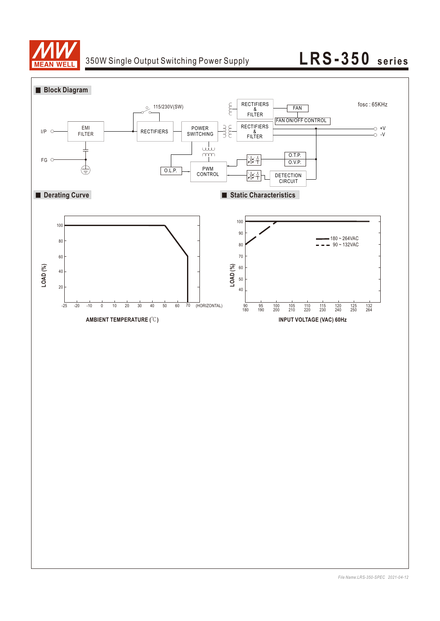

## 350W Single Output Switching Power Supply **LRS-350** series